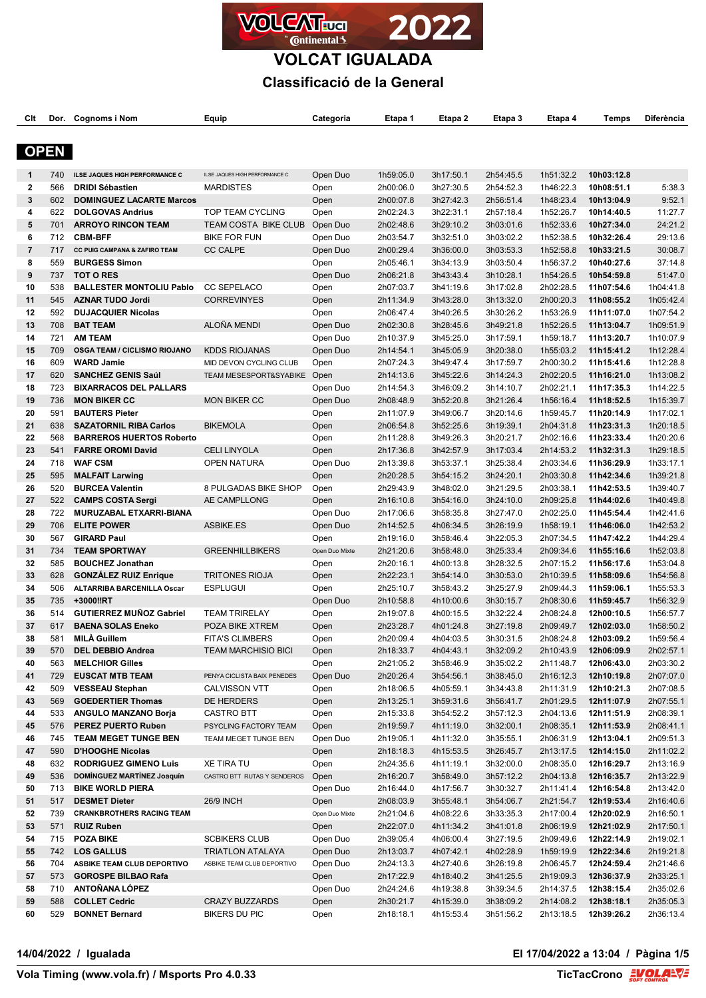

**VOLCAT IGUALADA**

### **Classificació de la General**

| Clt            | Dor.        | <b>Cognoms i Nom</b>                               | Equip                                | Categoria        | Etapa 1                | Etapa 2                | Etapa 3                | Etapa 4                | Temps                    | Diferència             |
|----------------|-------------|----------------------------------------------------|--------------------------------------|------------------|------------------------|------------------------|------------------------|------------------------|--------------------------|------------------------|
|                |             |                                                    |                                      |                  |                        |                        |                        |                        |                          |                        |
|                | <b>OPEN</b> |                                                    |                                      |                  |                        |                        |                        |                        |                          |                        |
| $\mathbf{1}$   | 740         | ILSE JAQUES HIGH PERFORMANCE C                     | ILSE JAQUES HIGH PERFORMANCE C       | Open Duo         | 1h59:05.0              | 3h17:50.1              | 2h54:45.5              | 1h51:32.2              | 10h03:12.8               |                        |
| $\mathbf{2}$   | 566         | <b>DRIDI Sébastien</b>                             | <b>MARDISTES</b>                     | Open             | 2h00:06.0              | 3h27:30.5              | 2h54:52.3              | 1h46:22.3              | 10h08:51.1               | 5:38.3                 |
| 3              | 602         | <b>DOMINGUEZ LACARTE Marcos</b>                    |                                      | Open             | 2h00:07.8              | 3h27:42.3              | 2h56:51.4              | 1h48:23.4              | 10h13:04.9               | 9:52.1                 |
| 4              | 622         | <b>DOLGOVAS Andrius</b>                            | TOP TEAM CYCLING                     | Open             | 2h02:24.3              | 3h22:31.1              | 2h57:18.4              | 1h52:26.7              | 10h14:40.5               | 11:27.7                |
| 5              | 701         | <b>ARROYO RINCON TEAM</b>                          | TEAM COSTA BIKE CLUB                 | Open Duo         | 2h02:48.6              | 3h29:10.2              | 3h03:01.6              | 1h52:33.6              | 10h27:34.0               | 24:21.2                |
| 6              | 712         | <b>CBM-BFF</b>                                     | <b>BIKE FOR FUN</b>                  | Open Duo         | 2h03:54.7              | 3h32:51.0              | 3h03:02.2              | 1h52:38.5              | 10h32:26.4               | 29:13.6                |
| $\overline{7}$ | 717         | CC PUIG CAMPANA & ZAFIRO TEAM                      | <b>CC CALPE</b>                      | Open Duo         | 2h00:29.4              | 3h36:00.0              | 3h03:53.3              | 1h52:58.8              | 10h33:21.5               | 30:08.7                |
| 8              | 559         | <b>BURGESS Simon</b>                               |                                      | Open             | 2h05:46.1              | 3h34:13.9              | 3h03:50.4              | 1h56:37.2              | 10h40:27.6               | 37:14.8                |
| 9              | 737         | <b>TOT O RES</b>                                   |                                      | Open Duo         | 2h06:21.8              | 3h43:43.4              | 3h10:28.1              | 1h54:26.5              | 10h54:59.8               | 51:47.0                |
| 10             | 538         | <b>BALLESTER MONTOLIU Pablo</b>                    | <b>CC SEPELACO</b>                   | Open             | 2h07:03.7              | 3h41:19.6              | 3h17:02.8              | 2h02:28.5              | 11h07:54.6               | 1h04:41.8              |
| 11             | 545         | <b>AZNAR TUDO Jordi</b>                            | <b>CORREVINYES</b>                   | Open             | 2h11:34.9              | 3h43:28.0              | 3h13:32.0              | 2h00:20.3              | 11h08:55.2               | 1h05:42.4              |
| 12             | 592         | <b>DUJACQUIER Nicolas</b>                          |                                      | Open             | 2h06:47.4              | 3h40:26.5              | 3h30:26.2              | 1h53:26.9              | 11h11:07.0               | 1h07:54.2              |
| 13             | 708         | <b>BAT TEAM</b>                                    | ALOÑA MENDI                          | Open Duo         | 2h02:30.8              | 3h28:45.6              | 3h49:21.8              | 1h52:26.5              | 11h13:04.7               | 1h09:51.9              |
| 14             | 721         | <b>AM TEAM</b>                                     |                                      | Open Duo         | 2h10:37.9              | 3h45:25.0              | 3h17:59.1              | 1h59:18.7              | 11h13:20.7               | 1h10:07.9              |
| 15             | 709         | <b>OSGA TEAM / CICLISMO RIOJANO</b>                | <b>KDDS RIOJANAS</b>                 | Open Duo         | 2h14:54.1              | 3h45:05.9              | 3h20:38.0              | 1h55:03.2              | 11h15:41.2               | 1h12:28.4              |
| 16             | 609         | <b>WARD Jamie</b>                                  | MID DEVON CYCLING CLUB               | Open             | 2h07:24.3              | 3h49:47.4              | 3h17:59.7              | 2h00:30.2              | 11h15:41.6               | 1h12:28.8              |
| 17             | 620         | <b>SANCHEZ GENIS Saúl</b>                          | TEAM MESESPORT&SYABIKE Open          |                  | 2h14:13.6              | 3h45:22.6              | 3h14:24.3              | 2h02:20.5              | 11h16:21.0               | 1h13:08.2              |
| 18             | 723         | <b>BIXARRACOS DEL PALLARS</b>                      |                                      | Open Duo         | 2h14:54.3              | 3h46:09.2              | 3h14:10.7              | 2h02:21.1              | 11h17:35.3               | 1h14:22.5              |
| 19             | 736         | <b>MON BIKER CC</b>                                | <b>MON BIKER CC</b>                  | Open Duo         | 2h08:48.9              | 3h52:20.8              | 3h21:26.4              | 1h56:16.4              | 11h18:52.5               | 1h15:39.7              |
| 20             | 591         | <b>BAUTERS Pieter</b>                              |                                      | Open             | 2h11:07.9              | 3h49:06.7              | 3h20:14.6              | 1h59:45.7              | 11h20:14.9               | 1h17:02.1              |
| 21             | 638         | <b>SAZATORNIL RIBA Carlos</b>                      | <b>BIKEMOLA</b>                      | Open             | 2h06:54.8              | 3h52:25.6              | 3h19:39.1              | 2h04:31.8              | 11h23:31.3               | 1h20:18.5              |
| 22             | 568         | <b>BARREROS HUERTOS Roberto</b>                    |                                      | Open             | 2h11:28.8              | 3h49:26.3              | 3h20:21.7              | 2h02:16.6              | 11h23:33.4               | 1h20:20.6              |
| 23             | 541         | <b>FARRE OROMI David</b>                           | <b>CELI LINYOLA</b>                  | Open             | 2h17:36.8              | 3h42:57.9              | 3h17:03.4              | 2h14:53.2              | 11h32:31.3               | 1h29:18.5              |
| 24             | 718         | <b>WAF CSM</b>                                     | <b>OPEN NATURA</b>                   | Open Duo         | 2h13:39.8              | 3h53:37.1              | 3h25:38.4              | 2h03:34.6              | 11h36:29.9               | 1h33:17.1              |
| 25             | 595         | <b>MALFAIT Larwing</b>                             |                                      | Open             | 2h20:28.5              | 3h54:15.2              | 3h24:20.1              | 2h03:30.8              | 11h42:34.6               | 1h39:21.8              |
| 26<br>27       | 520<br>522  | <b>BURCEA Valentin</b><br><b>CAMPS COSTA Sergi</b> | 8 PULGADAS BIKE SHOP<br>AE CAMPLLONG | Open             | 2h29:43.9<br>2h16:10.8 | 3h48:02.0<br>3h54:16.0 | 3h21:29.5<br>3h24:10.0 | 2h03:38.1<br>2h09:25.8 | 11h42:53.5<br>11h44:02.6 | 1h39:40.7              |
| 28             | 722         | MURUZABAL ETXARRI-BIANA                            |                                      | Open<br>Open Duo | 2h17:06.6              | 3h58:35.8              | 3h27:47.0              | 2h02:25.0              | 11h45:54.4               | 1h40:49.8<br>1h42:41.6 |
| 29             | 706         | <b>ELITE POWER</b>                                 | ASBIKE.ES                            | Open Duo         | 2h14:52.5              | 4h06:34.5              | 3h26:19.9              | 1h58:19.1              | 11h46:06.0               | 1h42:53.2              |
| 30             | 567         | <b>GIRARD Paul</b>                                 |                                      | Open             | 2h19:16.0              | 3h58:46.4              | 3h22:05.3              | 2h07:34.5              | 11h47:42.2               | 1h44:29.4              |
| 31             | 734         | <b>TEAM SPORTWAY</b>                               | <b>GREENHILLBIKERS</b>               | Open Duo Mixte   | 2h21:20.6              | 3h58:48.0              | 3h25:33.4              | 2h09:34.6              | 11h55:16.6               | 1h52:03.8              |
| 32             | 585         | <b>BOUCHEZ Jonathan</b>                            |                                      | Open             | 2h20:16.1              | 4h00:13.8              | 3h28:32.5              | 2h07:15.2              | 11h56:17.6               | 1h53:04.8              |
| 33             | 628         | <b>GONZALEZ RUIZ Enrique</b>                       | <b>TRITONES RIOJA</b>                | Open             | 2h22:23.1              | 3h54:14.0              | 3h30:53.0              | 2h10:39.5              | 11h58:09.6               | 1h54:56.8              |
| 34             | 506         | ALTARRIBA BARCENILLA Oscar                         | <b>ESPLUGUI</b>                      | Open             | 2h25:10.7              | 3h58:43.2              | 3h25:27.9              | 2h09:44.3              | 11h59:06.1               | 1h55:53.3              |
| 35             | 735         | +3000!!RT                                          |                                      | Open Duo         | 2h10:58.8              | 4h10:00.6              | 3h30:15.7              | 2h08:30.6              | 11h59:45.7               | 1h56:32.9              |
| 36             | 514         | <b>GUTIERREZ MUÑOZ Gabriel</b>                     | <b>TEAM TRIRELAY</b>                 | Open             | 2h19:07.8              | 4h00:15.5              | 3h32:22.4              | 2h08:24.8              | 12h00:10.5               | 1h56:57.7              |
| 37             | 617         | <b>BAENA SOLAS Eneko</b>                           | POZA BIKE XTREM                      | Open             | 2h23:28.7              | 4h01:24.8              | 3h27:19.8              | 2h09:49.7              | 12h02:03.0               | 1h58:50.2              |
| 38             | 581         | <b>MILA Guillem</b>                                | <b>FITA'S CLIMBERS</b>               | Open             | 2h20:09.4              | 4h04:03.5              | 3h30:31.5              | 2h08:24.8              | 12h03:09.2               | 1h59:56.4              |
| 39             | 570         | <b>DEL DEBBIO Andrea</b>                           | <b>TEAM MARCHISIO BICI</b>           | Open             | 2h18:33.7              | 4h04:43.1              | 3h32:09.2              | 2h10:43.9              | 12h06:09.9               | 2h02:57.1              |
| 40             | 563         | <b>MELCHIOR Gilles</b>                             |                                      | Open             | 2h21:05.2              | 3h58:46.9              | 3h35:02.2              | 2h11:48.7              | 12h06:43.0               | 2h03:30.2              |
| 41             | 729         | <b>EUSCAT MTB TEAM</b>                             | PENYA CICLISTA BAIX PENEDES          | Open Duo         | 2h20:26.4              | 3h54:56.1              | 3h38:45.0              | 2h16:12.3              | 12h10:19.8               | 2h07:07.0              |
| 42             | 509         | <b>VESSEAU Stephan</b>                             | <b>CALVISSON VTT</b>                 | Open             | 2h18:06.5              | 4h05:59.1              | 3h34:43.8              | 2h11:31.9              | 12h10:21.3               | 2h07:08.5              |
| 43             | 569         | <b>GOEDERTIER Thomas</b>                           | DE HERDERS                           | Open             | 2h13:25.1              | 3h59:31.6              | 3h56:41.7              | 2h01:29.5              | 12h11:07.9               | 2h07:55.1              |
| 44             | 533         | <b>ANGULO MANZANO Borja</b>                        | <b>CASTRO BTT</b>                    | Open             | 2h15:33.8              | 3h54:52.2              | 3h57:12.3              | 2h04:13.6              | 12h11:51.9               | 2h08:39.1              |
| 45             | 576         | <b>PEREZ PUERTO Ruben</b>                          | PSYCLING FACTORY TEAM                | Open             | 2h19:59.7              | 4h11:19.0              | 3h32:00.1              | 2h08:35.1              | 12h11:53.9               | 2h08:41.1              |
| 46             | 745         | <b>TEAM MEGET TUNGE BEN</b>                        | TEAM MEGET TUNGE BEN                 | Open Duo         | 2h19:05.1              | 4h11:32.0              | 3h35:55.1              | 2h06:31.9              | 12h13:04.1               | 2h09:51.3              |
| 47             | 590         | <b>D'HOOGHE Nicolas</b>                            |                                      | Open             | 2h18:18.3              | 4h15:53.5              | 3h26:45.7              | 2h13:17.5              | 12h14:15.0               | 2h11:02.2              |
| 48             | 632         | <b>RODRIGUEZ GIMENO Luis</b>                       | <b>XE TIRA TU</b>                    | Open             | 2h24:35.6              | 4h11:19.1              | 3h32:00.0              | 2h08:35.0              | 12h16:29.7               | 2h13:16.9              |
| 49             | 536         | <b>DOMÍNGUEZ MARTÍNEZ Joaquín</b>                  | CASTRO BTT RUTAS Y SENDEROS          | Open             | 2h16:20.7              | 3h58:49.0              | 3h57:12.2              | 2h04:13.8              | 12h16:35.7               | 2h13:22.9              |
| 50             | 713         | <b>BIKE WORLD PIERA</b>                            |                                      | Open Duo         | 2h16:44.0              | 4h17:56.7              | 3h30:32.7              | 2h11:41.4              | 12h16:54.8               | 2h13:42.0              |
| 51             | 517<br>739  | <b>DESMET Dieter</b>                               | 26/9 INCH                            | Open             | 2h08:03.9              | 3h55:48.1              | 3h54:06.7              | 2h21:54.7              | 12h19:53.4               | 2h16:40.6              |
| 52             |             | <b>CRANKBROTHERS RACING TEAM</b>                   |                                      | Open Duo Mixte   | 2h21:04.6              | 4h08:22.6              | 3h33:35.3              | 2h17:00.4              | 12h20:02.9               | 2h16:50.1              |
| 53<br>54       | 571<br>715  | <b>RUIZ Ruben</b><br><b>POZA BIKE</b>              | <b>SCBIKERS CLUB</b>                 | Open<br>Open Duo | 2h22:07.0<br>2h39:05.4 | 4h11:34.2<br>4h06:00.4 | 3h41:01.8<br>3h27:19.5 | 2h06:19.9<br>2h09:49.6 | 12h21:02.9<br>12h22:14.9 | 2h17:50.1<br>2h19:02.1 |
| 55             | 742         | <b>LOS GALLUS</b>                                  | <b>TRIATLON ATALAYA</b>              | Open Duo         | 2h13:03.7              | 4h07:42.1              | 4h02:28.9              | 1h59:19.9              | 12h22:34.6               | 2h19:21.8              |
| 56             | 704         | ASBIKE TEAM CLUB DEPORTIVO                         | ASBIKE TEAM CLUB DEPORTIVO           | Open Duo         | 2h24:13.3              | 4h27:40.6              | 3h26:19.8              | 2h06:45.7              | 12h24:59.4               | 2h21:46.6              |
| 57             | 573         | <b>GOROSPE BILBAO Rafa</b>                         |                                      | Open             | 2h17:22.9              | 4h18:40.2              | 3h41:25.5              | 2h19:09.3              | 12h36:37.9               | 2h33:25.1              |
| 58             | 710         | ANTOÑANA LÓPEZ                                     |                                      | Open Duo         | 2h24:24.6              | 4h19:38.8              | 3h39:34.5              | 2h14:37.5              | 12h38:15.4               | 2h35:02.6              |
| 59             | 588         | <b>COLLET Cedric</b>                               | <b>CRAZY BUZZARDS</b>                | Open             | 2h30:21.7              | 4h15:39.0              | 3h38:09.2              | 2h14:08.2              | 12h38:18.1               | 2h35:05.3              |
| 60             | 529         | <b>BONNET Bernard</b>                              | <b>BIKERS DU PIC</b>                 | Open             | 2h18:18.1              | 4h15:53.4              | 3h51:56.2              | 2h13:18.5              | 12h39:26.2               | 2h36:13.4              |

**14/04/2022 / Igualada El 17/04/2022 a 13:04 / Pàgina 1/5**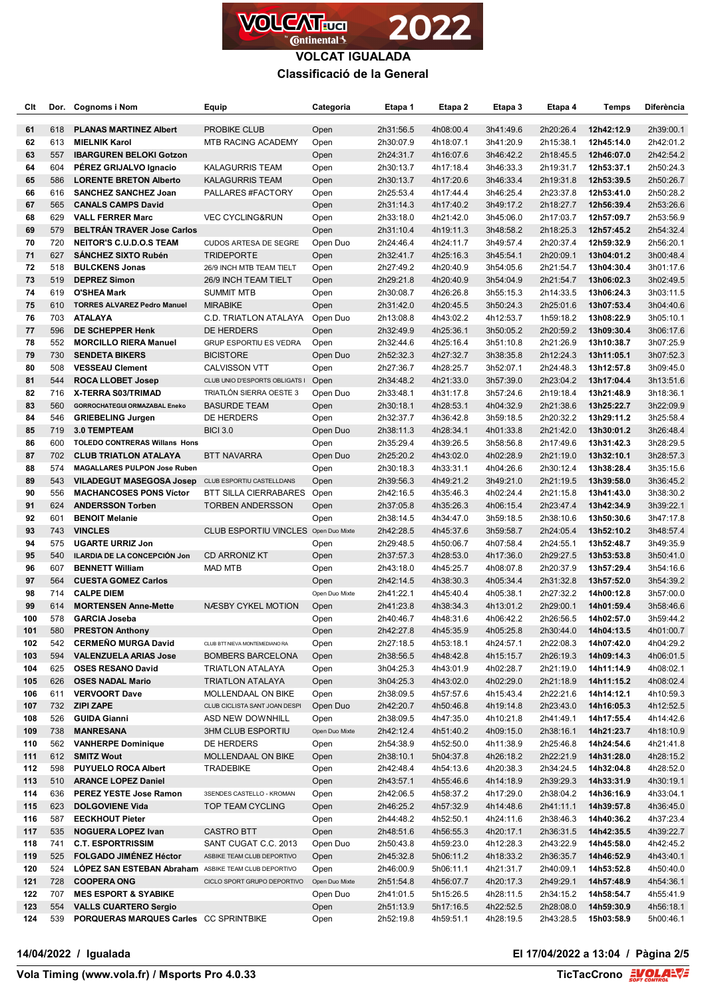

### **VOLCAT IGUALADA Classificació de la General**

| Clt        |            | Dor. Cognoms i Nom                                          | Equip                                            | Categoria              | Etapa 1                | Etapa 2                | Etapa 3                | Etapa 4                | <b>Temps</b>             | <b>Diferència</b>      |
|------------|------------|-------------------------------------------------------------|--------------------------------------------------|------------------------|------------------------|------------------------|------------------------|------------------------|--------------------------|------------------------|
| 61         | 618        | <b>PLANAS MARTINEZ Albert</b>                               | PROBIKE CLUB                                     | Open                   | 2h31:56.5              | 4h08:00.4              | 3h41:49.6              | 2h20:26.4              | 12h42:12.9               | 2h39:00.1              |
| 62         | 613        | <b>MIELNIK Karol</b>                                        | <b>MTB RACING ACADEMY</b>                        | Open                   | 2h30:07.9              | 4h18:07.1              | 3h41:20.9              | 2h15:38.1              | 12h45:14.0               | 2h42:01.2              |
| 63         | 557        | <b>IBARGUREN BELOKI Gotzon</b>                              |                                                  | Open                   | 2h24:31.7              | 4h16:07.6              | 3h46:42.2              | 2h18:45.5              | 12h46:07.0               | 2h42:54.2              |
| 64         | 604        | PÉREZ GRIJALVO Ignacio                                      | <b>KALAGURRIS TEAM</b>                           | Open                   | 2h30:13.7              | 4h17:18.4              | 3h46:33.3              | 2h19:31.7              | 12h53:37.1               | 2h50:24.3              |
| 65         | 586        | <b>LORENTE BRETON Alberto</b>                               | <b>KALAGURRIS TEAM</b>                           | Open                   | 2h30:13.7              | 4h17:20.6              | 3h46:33.4              | 2h19:31.8              | 12h53:39.5               | 2h50:26.7              |
| 66         | 616        | <b>SANCHEZ SANCHEZ Joan</b>                                 | PALLARES #FACTORY                                | Open                   | 2h25:53.4              | 4h17:44.4              | 3h46:25.4              | 2h23:37.8              | 12h53:41.0               | 2h50:28.2              |
| 67         | 565        | <b>CANALS CAMPS David</b>                                   |                                                  | Open                   | 2h31:14.3              | 4h17:40.2              | 3h49:17.2              | 2h18:27.7              | 12h56:39.4               | 2h53:26.6              |
| 68         | 629        | <b>VALL FERRER Marc</b>                                     | <b>VEC CYCLING&amp;RUN</b>                       | Open                   | 2h33:18.0              | 4h21:42.0              | 3h45:06.0              | 2h17:03.7              | 12h57:09.7               | 2h53:56.9              |
| 69         | 579        | <b>BELTRÁN TRAVER Jose Carlos</b>                           |                                                  | Open                   | 2h31:10.4              | 4h19:11.3              | 3h48:58.2              | 2h18:25.3              | 12h57:45.2               | 2h54:32.4              |
| 70         | 720        | <b>NEITOR'S C.U.D.O.S TEAM</b>                              | <b>CUDOS ARTESA DE SEGRE</b>                     | Open Duo               | 2h24:46.4              | 4h24:11.7              | 3h49:57.4              | 2h20:37.4              | 12h59:32.9               | 2h56:20.1              |
| 71<br>72   | 627<br>518 | <b>SANCHEZ SIXTO Rubén</b><br><b>BULCKENS Jonas</b>         | <b>TRIDEPORTE</b>                                | Open                   | 2h32:41.7              | 4h25:16.3<br>4h20:40.9 | 3h45:54.1              | 2h20:09.1<br>2h21:54.7 | 13h04:01.2<br>13h04:30.4 | 3h00:48.4              |
| 73         | 519        | <b>DEPREZ Simon</b>                                         | 26/9 INCH MTB TEAM TIELT<br>26/9 INCH TEAM TIELT | Open<br>Open           | 2h27:49.2<br>2h29:21.8 | 4h20:40.9              | 3h54:05.6<br>3h54:04.9 | 2h21:54.7              | 13h06:02.3               | 3h01:17.6<br>3h02:49.5 |
| 74         | 619        | <b>O'SHEA Mark</b>                                          | <b>SUMMIT MTB</b>                                | Open                   | 2h30:08.7              | 4h26:26.8              | 3h55:15.3              | 2h14:33.5              | 13h06:24.3               | 3h03:11.5              |
| 75         | 610        | <b>TORRES ALVAREZ Pedro Manuel</b>                          | <b>MIRABIKE</b>                                  | Open                   | 2h31:42.0              | 4h20:45.5              | 3h50:24.3              | 2h25:01.6              | 13h07:53.4               | 3h04:40.6              |
| 76         | 703        | <b>ATALAYA</b>                                              | C.D. TRIATLON ATALAYA                            | Open Duo               | 2h13:08.8              | 4h43:02.2              | 4h12:53.7              | 1h59:18.2              | 13h08:22.9               | 3h05:10.1              |
| 77         | 596        | DE SCHEPPER Henk                                            | DE HERDERS                                       | Open                   | 2h32:49.9              | 4h25:36.1              | 3h50:05.2              | 2h20:59.2              | 13h09:30.4               | 3h06:17.6              |
| 78         | 552        | <b>MORCILLO RIERA Manuel</b>                                | GRUP ESPORTIU ES VEDRA                           | Open                   | 2h32:44.6              | 4h25:16.4              | 3h51:10.8              | 2h21:26.9              | 13h10:38.7               | 3h07:25.9              |
| 79         | 730        | <b>SENDETA BIKERS</b>                                       | <b>BICISTORE</b>                                 | Open Duo               | 2h52:32.3              | 4h27:32.7              | 3h38:35.8              | 2h12:24.3              | 13h11:05.1               | 3h07:52.3              |
| 80         | 508        | <b>VESSEAU Clement</b>                                      | <b>CALVISSON VTT</b>                             | Open                   | 2h27:36.7              | 4h28:25.7              | 3h52:07.1              | 2h24:48.3              | 13h12:57.8               | 3h09:45.0              |
| 81         | 544        | <b>ROCA LLOBET Josep</b>                                    | CLUB UNIO D'ESPORTS OBLIGATS I                   | Open                   | 2h34:48.2              | 4h21:33.0              | 3h57:39.0              | 2h23:04.2              | 13h17:04.4               | 3h13:51.6              |
| 82         | 716        | <b>X-TERRA S03/TRIMAD</b>                                   | TRIATLÓN SIERRA OESTE 3                          | Open Duo               | 2h33:48.1              | 4h31:17.8              | 3h57:24.6              | 2h19:18.4              | 13h21:48.9               | 3h18:36.1              |
| 83         | 560        | GORROCHATEGUI ORMAZABAL Eneko                               | <b>BASURDE TEAM</b>                              | Open                   | 2h30:18.1              | 4h28:53.1              | 4h04:32.9              | 2h21:38.6              | 13h25:22.7               | 3h22:09.9              |
| 84         | 546        | <b>GRIEBELING Jurgen</b>                                    | DE HERDERS                                       | Open                   | 2h32:37.7              | 4h36:42.8              | 3h59:18.5              | 2h20:32.2              | 13h29:11.2               | 3h25:58.4              |
| 85         | 719        | 3.0 TEMPTEAM                                                | <b>BICI 3.0</b>                                  | Open Duo               | 2h38:11.3              | 4h28:34.1              | 4h01:33.8              | 2h21:42.0              | 13h30:01.2               | 3h26:48.4              |
| 86         | 600        | <b>TOLEDO CONTRERAS Willans Hons</b>                        |                                                  | Open                   | 2h35:29.4              | 4h39:26.5              | 3h58:56.8              | 2h17:49.6              | 13h31:42.3               | 3h28:29.5              |
| 87         | 702        | <b>CLUB TRIATLON ATALAYA</b>                                | BTT NAVARRA                                      | Open Duo               | 2h25:20.2              | 4h43:02.0              | 4h02:28.9              | 2h21:19.0              | 13h32:10.1               | 3h28:57.3              |
| 88         | 574        | <b>MAGALLARES PULPON Jose Ruben</b>                         |                                                  | Open                   | 2h30:18.3              | 4h33:31.1              | 4h04:26.6              | 2h30:12.4              | 13h38:28.4               | 3h35:15.6              |
| 89         | 543        | VILADEGUT MASEGOSA Josep CLUB ESPORTIU CASTELLDANS          |                                                  | Open                   | 2h39:56.3              | 4h49:21.2              | 3h49:21.0              | 2h21:19.5              | 13h39:58.0               | 3h36:45.2              |
| 90         | 556        | <b>MACHANCOSES PONS Víctor</b>                              | <b>BTT SILLA CIERRABARES</b>                     | Open                   | 2h42:16.5              | 4h35:46.3              | 4h02:24.4              | 2h21:15.8              | 13h41:43.0               | 3h38:30.2              |
| 91<br>92   | 624<br>601 | <b>ANDERSSON Torben</b>                                     | <b>TORBEN ANDERSSON</b>                          | Open                   | 2h37:05.8              | 4h35:26.3              | 4h06:15.4              | 2h23:47.4              | 13h42:34.9               | 3h39:22.1              |
| 93         | 743        | <b>BENOIT Melanie</b><br><b>VINCLES</b>                     | CLUB ESPORTIU VINCLES Open Duo Mixte             | Open                   | 2h38:14.5<br>2h42:28.5 | 4h34:47.0<br>4h45:37.6 | 3h59:18.5<br>3h59:58.7 | 2h38:10.6<br>2h24:05.4 | 13h50:30.6<br>13h52:10.2 | 3h47:17.8<br>3h48:57.4 |
| 94         | 575        | <b>UGARTE URRIZ Jon</b>                                     |                                                  | Open                   | 2h29:48.5              | 4h50:06.7              | 4h07:58.4              | 2h24:55.1              | 13h52:48.7               | 3h49:35.9              |
| 95         | 540        | ILARDIA DE LA CONCEPCIÓN Jon                                | <b>CD ARRONIZ KT</b>                             | Open                   | 2h37:57.3              | 4h28:53.0              | 4h17:36.0              | 2h29:27.5              | 13h53:53.8               | 3h50:41.0              |
| 96         | 607        | <b>BENNETT William</b>                                      | MAD MTB                                          | Open                   | 2h43:18.0              | 4h45:25.7              | 4h08:07.8              | 2h20:37.9              | 13h57:29.4               | 3h54:16.6              |
| 97         | 564        | <b>CUESTA GOMEZ Carlos</b>                                  |                                                  | Open                   | 2h42:14.5              | 4h38:30.3              | 4h05:34.4              | 2h31:32.8              | 13h57:52.0               | 3h54:39.2              |
| 98         | 714        | <b>CALPE DIEM</b>                                           |                                                  | Open Duo Mixte         | 2h41:22.1              | 4h45:40.4              | 4h05:38.1              | 2h27:32.2              | 14h00:12.8               | 3h57:00.0              |
| 99         | 614        | <b>MORTENSEN Anne-Mette</b>                                 | NÆSBY CYKEL MOTION                               | Open                   | 2h41:23.8              | 4h38:34.3              | 4h13:01.2              | 2h29:00.1              | 14h01:59.4               | 3h58:46.6              |
| 100        | 578        | <b>GARCIA Joseba</b>                                        |                                                  | Open                   | 2h40:46.7              | 4h48:31.6              | 4h06:42.2              | 2h26:56.5              | 14h02:57.0               | 3h59:44.2              |
| 101        | 580        | <b>PRESTON Anthony</b>                                      |                                                  | Open                   | 2h42:27.8              | 4h45:35.9              | 4h05:25.8              | 2h30:44.0              | 14h04:13.5               | 4h01:00.7              |
| 102        | 542        | <b>CERMEÑO MURGA David</b>                                  | CLUB BTT NIEVA MONTEMEDIANO RA                   | Open                   | 2h27:18.5              | 4h53:18.1              | 4h24:57.1              | 2h22:08.3              | 14h07:42.0               | 4h04:29.2              |
| 103        | 594        | <b>VALENZUELA ARIAS Jose</b>                                | <b>BOMBERS BARCELONA</b>                         | Open                   | 2h38:56.5              | 4h48:42.8              | 4h15:15.7              | 2h26:19.3              | 14h09:14.3               | 4h06:01.5              |
| 104        | 625        | <b>OSES RESANO David</b>                                    | TRIATLON ATALAYA                                 | Open                   | 3h04:25.3              | 4h43:01.9              | 4h02:28.7              | 2h21:19.0              | 14h11:14.9               | 4h08:02.1              |
| 105        | 626        | <b>OSES NADAL Mario</b>                                     | <b>TRIATLON ATALAYA</b>                          | Open                   | 3h04:25.3              | 4h43:02.0              | 4h02:29.0              | 2h21:18.9              | 14h11:15.2               | 4h08:02.4              |
| 106        | 611        | <b>VERVOORT Dave</b>                                        | MOLLENDAAL ON BIKE                               | Open                   | 2h38:09.5              | 4h57:57.6              | 4h15:43.4              | 2h22:21.6              | 14h14:12.1               | 4h10:59.3              |
| 107        | 732        | <b>ZIPI ZAPE</b>                                            | CLUB CICLISTA SANT JOAN DESPI                    | Open Duo               | 2h42:20.7              | 4h50:46.8              | 4h19:14.8              | 2h23:43.0              | 14h16:05.3               | 4h12:52.5              |
| 108        | 526<br>738 | <b>GUIDA Gianni</b>                                         | ASD NEW DOWNHILL                                 | Open<br>Open Duo Mixte | 2h38:09.5              | 4h47:35.0              | 4h10:21.8              | 2h41:49.1<br>2h38:16.1 | 14h17:55.4               | 4h14:42.6<br>4h18:10.9 |
| 109<br>110 | 562        | <b>MANRESANA</b><br><b>VANHERPE Dominique</b>               | <b>3HM CLUB ESPORTIU</b><br>DE HERDERS           |                        | 2h42:12.4<br>2h54:38.9 | 4h51:40.2<br>4h52:50.0 | 4h09:15.0<br>4h11:38.9 | 2h25:46.8              | 14h21:23.7<br>14h24:54.6 | 4h21:41.8              |
| 111        | 612        | <b>SMITZ Wout</b>                                           | MOLLENDAAL ON BIKE                               | Open<br>Open           | 2h38:10.1              | 5h04:37.8              | 4h26:18.2              | 2h22:21.9              | 14h31:28.0               | 4h28:15.2              |
| 112        | 598        | <b>PUYUELO ROCA Albert</b>                                  | <b>TRADEBIKE</b>                                 | Open                   | 2h42:48.4              | 4h54:13.6              | 4h20:38.3              | 2h34:24.5              | 14h32:04.8               | 4h28:52.0              |
| 113        | 510        | <b>ARANCE LOPEZ Daniel</b>                                  |                                                  | Open                   | 2h43:57.1              | 4h55:46.6              | 4h14:18.9              | 2h39:29.3              | 14h33:31.9               | 4h30:19.1              |
| 114        | 636        | PEREZ YESTE Jose Ramon                                      | 3SENDES CASTELLO - KROMAN                        | Open                   | 2h42:06.5              | 4h58:37.2              | 4h17:29.0              | 2h38:04.2              | 14h36:16.9               | 4h33:04.1              |
| 115        | 623        | <b>DOLGOVIENE Vida</b>                                      | TOP TEAM CYCLING                                 | Open                   | 2h46:25.2              | 4h57:32.9              | 4h14:48.6              | 2h41:11.1              | 14h39:57.8               | 4h36:45.0              |
| 116        | 587        | <b>EECKHOUT Pieter</b>                                      |                                                  | Open                   | 2h44:48.2              | 4h52:50.1              | 4h24:11.6              | 2h38:46.3              | 14h40:36.2               | 4h37:23.4              |
| 117        | 535        | <b>NOGUERA LOPEZ Ivan</b>                                   | <b>CASTRO BTT</b>                                | Open                   | 2h48:51.6              | 4h56:55.3              | 4h20:17.1              | 2h36:31.5              | 14h42:35.5               | 4h39:22.7              |
| 118        | 741        | <b>C.T. ESPORTRISSIM</b>                                    | SANT CUGAT C.C. 2013                             | Open Duo               | 2h50:43.8              | 4h59:23.0              | 4h12:28.3              | 2h43:22.9              | 14h45:58.0               | 4h42:45.2              |
| 119        | 525        | <b>FOLGADO JIMÉNEZ Héctor</b>                               | ASBIKE TEAM CLUB DEPORTIVO                       | Open                   | 2h45:32.8              | 5h06:11.2              | 4h18:33.2              | 2h36:35.7              | 14h46:52.9               | 4h43:40.1              |
| 120        | 524        | <b>LOPEZ SAN ESTEBAN Abraham ASBIKE TEAM CLUB DEPORTIVO</b> |                                                  | Open                   | 2h46:00.9              | 5h06:11.1              | 4h21:31.7              | 2h40:09.1              | 14h53:52.8               | 4h50:40.0              |
| 121        | 728        | <b>COOPERA ONG</b>                                          | CICLO SPORT GRUPO DEPORTIVO                      | Open Duo Mixte         | 2h51:54.8              | 4h56:07.7              | 4h20:17.3              | 2h49:29.1              | 14h57:48.9               | 4h54:36.1              |
| 122        | 707        | <b>MES ESPORT &amp; SYABIKE</b>                             |                                                  | Open Duo               | 2h41:01.5              | 5h15:26.5              | 4h28:11.5              | 2h34:15.2              | 14h58:54.7               | 4h55:41.9              |
| 123        | 554        | <b>VALLS CUARTERO Sergio</b>                                |                                                  | Open                   | 2h51:13.9              | 5h17:16.5              | 4h22:52.5              | 2h28:08.0              | 14h59:30.9               | 4h56:18.1              |
| 124        | 539        | PORQUERAS MARQUES Carles CC SPRINTBIKE                      |                                                  | Open                   | 2h52:19.8              | 4h59:51.1              | 4h28:19.5              | 2h43:28.5              | 15h03:58.9               | 5h00:46.1              |

**14/04/2022 / Igualada El 17/04/2022 a 13:04 / Pàgina 2/5**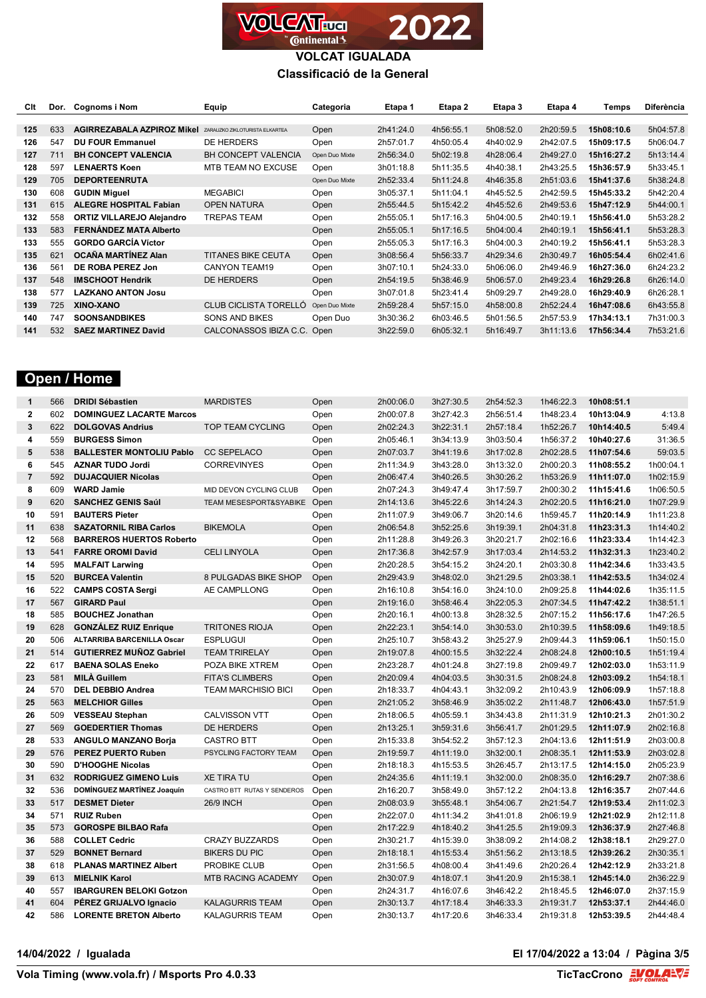

#### **VOLCAT IGUALADA Classificació de la General**

| Clt | Dor. | Cognoms i Nom                     | Equip                          | Categoria      | Etapa 1   | Etapa 2   | Etapa 3   | Etapa 4   | Temps      | Diferència |
|-----|------|-----------------------------------|--------------------------------|----------------|-----------|-----------|-----------|-----------|------------|------------|
|     |      |                                   |                                |                |           |           |           |           |            |            |
| 125 | 633  | <b>AGIRREZABALA AZPIROZ Mikel</b> | ZARAUZKO ZIKLOTURISTA ELKARTEA | Open           | 2h41:24.0 | 4h56:55.1 | 5h08:52.0 | 2h20:59.5 | 15h08:10.6 | 5h04:57.8  |
| 126 | 547  | <b>DU FOUR Emmanuel</b>           | DE HERDERS                     | Open           | 2h57:01.7 | 4h50:05.4 | 4h40:02.9 | 2h42:07.5 | 15h09:17.5 | 5h06:04.7  |
| 127 | 711  | <b>BH CONCEPT VALENCIA</b>        | <b>BH CONCEPT VALENCIA</b>     | Open Duo Mixte | 2h56:34.0 | 5h02:19.8 | 4h28:06.4 | 2h49:27.0 | 15h16:27.2 | 5h13:14.4  |
| 128 | 597  | <b>LENAERTS Koen</b>              | MTB TEAM NO EXCUSE             | Open           | 3h01:18.8 | 5h11:35.5 | 4h40:38.1 | 2h43:25.5 | 15h36:57.9 | 5h33:45.1  |
| 129 | 705  | <b>DEPORTEENRUTA</b>              |                                | Open Duo Mixte | 2h52:33.4 | 5h11:24.8 | 4h46:35.8 | 2h51:03.6 | 15h41:37.6 | 5h38:24.8  |
| 130 | 608  | <b>GUDIN Miguel</b>               | <b>MEGABICI</b>                | Open           | 3h05:37.1 | 5h11:04.1 | 4h45:52.5 | 2h42:59.5 | 15h45:33.2 | 5h42:20.4  |
| 131 | 615  | <b>ALEGRE HOSPITAL Fabian</b>     | <b>OPEN NATURA</b>             | Open           | 2h55:44.5 | 5h15:42.2 | 4h45:52.6 | 2h49:53.6 | 15h47:12.9 | 5h44:00.1  |
| 132 | 558  | <b>ORTIZ VILLAREJO Alejandro</b>  | <b>TREPAS TEAM</b>             | Open           | 2h55:05.1 | 5h17:16.3 | 5h04:00.5 | 2h40:19.1 | 15h56:41.0 | 5h53:28.2  |
| 133 | 583  | FERNÁNDEZ MATA Alberto            |                                | Open           | 2h55:05.1 | 5h17:16.5 | 5h04:00.4 | 2h40:19.1 | 15h56:41.1 | 5h53:28.3  |
| 133 | 555  | <b>GORDO GARCÍA Víctor</b>        |                                | Open           | 2h55:05.3 | 5h17:16.3 | 5h04:00.3 | 2h40:19.2 | 15h56:41.1 | 5h53:28.3  |
| 135 | 621  | OCAÑA MARTÍNEZ Alan               | <b>TITANES BIKE CEUTA</b>      | Open           | 3h08:56.4 | 5h56:33.7 | 4h29:34.6 | 2h30:49.7 | 16h05:54.4 | 6h02:41.6  |
| 136 | 561  | DE ROBA PEREZ Jon                 | <b>CANYON TEAM19</b>           | Open           | 3h07:10.1 | 5h24:33.0 | 5h06:06.0 | 2h49:46.9 | 16h27:36.0 | 6h24:23.2  |
| 137 | 548  | <b>IMSCHOOT Hendrik</b>           | <b>DE HERDERS</b>              | Open           | 2h54:19.5 | 5h38:46.9 | 5h06:57.0 | 2h49:23.4 | 16h29:26.8 | 6h26:14.0  |
| 138 | 577  | <b>LAZKANO ANTON Josu</b>         |                                | Open           | 3h07:01.8 | 5h23:41.4 | 5h09:29.7 | 2h49:28.0 | 16h29:40.9 | 6h26:28.1  |
| 139 | 725  | XINO-XANO                         | <b>CLUB CICLISTA TORELLO</b>   | Open Duo Mixte | 2h59:28.4 | 5h57:15.0 | 4h58:00.8 | 2h52:24.4 | 16h47:08.6 | 6h43:55.8  |
| 140 | 747  | <b>SOONSANDBIKES</b>              | <b>SONS AND BIKES</b>          | Open Duo       | 3h30:36.2 | 6h03:46.5 | 5h01:56.5 | 2h57:53.9 | 17h34:13.1 | 7h31:00.3  |
| 141 | 532  | <b>SAEZ MARTINEZ David</b>        | CALCONASSOS IBIZA C.C.         | Open           | 3h22:59.0 | 6h05:32.1 | 5h16:49.7 | 3h11:13.6 | 17h56:34.4 | 7h53:21.6  |

# **Open / Home**

| $\mathbf{1}$   | 566 | <b>DRIDI Sébastien</b>            | <b>MARDISTES</b>            | Open | 2h00:06.0 | 3h27:30.5 | 2h54:52.3 | 1h46:22.3 | 10h08:51.1 |           |
|----------------|-----|-----------------------------------|-----------------------------|------|-----------|-----------|-----------|-----------|------------|-----------|
| $\overline{2}$ | 602 | <b>DOMINGUEZ LACARTE Marcos</b>   |                             | Open | 2h00:07.8 | 3h27:42.3 | 2h56:51.4 | 1h48:23.4 | 10h13:04.9 | 4:13.8    |
| $\mathbf{3}$   | 622 | <b>DOLGOVAS Andrius</b>           | <b>TOP TEAM CYCLING</b>     | Open | 2h02:24.3 | 3h22:31.1 | 2h57:18.4 | 1h52:26.7 | 10h14:40.5 | 5:49.4    |
| 4              | 559 | <b>BURGESS Simon</b>              |                             | Open | 2h05:46.1 | 3h34:13.9 | 3h03:50.4 | 1h56:37.2 | 10h40:27.6 | 31:36.5   |
| 5              | 538 | <b>BALLESTER MONTOLIU Pablo</b>   | <b>CC SEPELACO</b>          | Open | 2h07:03.7 | 3h41:19.6 | 3h17:02.8 | 2h02:28.5 | 11h07:54.6 | 59:03.5   |
| 6              | 545 | <b>AZNAR TUDO Jordi</b>           | <b>CORREVINYES</b>          | Open | 2h11:34.9 | 3h43:28.0 | 3h13:32.0 | 2h00:20.3 | 11h08:55.2 | 1h00:04.1 |
| $\overline{7}$ | 592 | <b>DUJACQUIER Nicolas</b>         |                             | Open | 2h06:47.4 | 3h40:26.5 | 3h30:26.2 | 1h53:26.9 | 11h11:07.0 | 1h02:15.9 |
| 8              | 609 | <b>WARD Jamie</b>                 | MID DEVON CYCLING CLUB      | Open | 2h07:24.3 | 3h49:47.4 | 3h17:59.7 | 2h00:30.2 | 11h15:41.6 | 1h06:50.5 |
| 9              | 620 | <b>SANCHEZ GENIS Saúl</b>         | TEAM MESESPORT&SYABIKE Open |      | 2h14:13.6 | 3h45:22.6 | 3h14:24.3 | 2h02:20.5 | 11h16:21.0 | 1h07:29.9 |
| 10             | 591 | <b>BAUTERS Pieter</b>             |                             | Open | 2h11:07.9 | 3h49:06.7 | 3h20:14.6 | 1h59:45.7 | 11h20:14.9 | 1h11:23.8 |
| 11             | 638 | <b>SAZATORNIL RIBA Carlos</b>     | <b>BIKEMOLA</b>             | Open | 2h06:54.8 | 3h52:25.6 | 3h19:39.1 | 2h04:31.8 | 11h23:31.3 | 1h14:40.2 |
| 12             | 568 | <b>BARREROS HUERTOS Roberto</b>   |                             | Open | 2h11:28.8 | 3h49:26.3 | 3h20:21.7 | 2h02:16.6 | 11h23:33.4 | 1h14:42.3 |
| 13             | 541 | <b>FARRE OROMI David</b>          | <b>CELI LINYOLA</b>         | Open | 2h17:36.8 | 3h42:57.9 | 3h17:03.4 | 2h14:53.2 | 11h32:31.3 | 1h23:40.2 |
| 14             | 595 | <b>MALFAIT Larwing</b>            |                             | Open | 2h20:28.5 | 3h54:15.2 | 3h24:20.1 | 2h03:30.8 | 11h42:34.6 | 1h33:43.5 |
| 15             | 520 | <b>BURCEA Valentin</b>            | 8 PULGADAS BIKE SHOP        | Open | 2h29:43.9 | 3h48:02.0 | 3h21:29.5 | 2h03:38.1 | 11h42:53.5 | 1h34:02.4 |
| 16             | 522 | <b>CAMPS COSTA Sergi</b>          | AE CAMPLLONG                | Open | 2h16:10.8 | 3h54:16.0 | 3h24:10.0 | 2h09:25.8 | 11h44:02.6 | 1h35:11.5 |
| 17             | 567 | <b>GIRARD Paul</b>                |                             | Open | 2h19:16.0 | 3h58:46.4 | 3h22:05.3 | 2h07:34.5 | 11h47:42.2 | 1h38:51.1 |
| 18             | 585 | <b>BOUCHEZ Jonathan</b>           |                             | Open | 2h20:16.1 | 4h00:13.8 | 3h28:32.5 | 2h07:15.2 | 11h56:17.6 | 1h47:26.5 |
| 19             | 628 | <b>GONZÁLEZ RUIZ Enrique</b>      | <b>TRITONES RIOJA</b>       | Open | 2h22:23.1 | 3h54:14.0 | 3h30:53.0 | 2h10:39.5 | 11h58:09.6 | 1h49:18.5 |
| 20             | 506 | <b>ALTARRIBA BARCENILLA Oscar</b> | <b>ESPLUGUI</b>             | Open | 2h25:10.7 | 3h58:43.2 | 3h25:27.9 | 2h09:44.3 | 11h59:06.1 | 1h50:15.0 |
| 21             | 514 | <b>GUTIERREZ MUÑOZ Gabriel</b>    | <b>TEAM TRIRELAY</b>        | Open | 2h19:07.8 | 4h00:15.5 | 3h32:22.4 | 2h08:24.8 | 12h00:10.5 | 1h51:19.4 |
| 22             | 617 | <b>BAENA SOLAS Eneko</b>          | POZA BIKE XTREM             | Open | 2h23:28.7 | 4h01:24.8 | 3h27:19.8 | 2h09:49.7 | 12h02:03.0 | 1h53:11.9 |
| 23             | 581 | <b>MILÀ Guillem</b>               | <b>FITA'S CLIMBERS</b>      | Open | 2h20:09.4 | 4h04:03.5 | 3h30:31.5 | 2h08:24.8 | 12h03:09.2 | 1h54:18.1 |
| 24             | 570 | <b>DEL DEBBIO Andrea</b>          | <b>TEAM MARCHISIO BICI</b>  | Open | 2h18:33.7 | 4h04:43.1 | 3h32:09.2 | 2h10:43.9 | 12h06:09.9 | 1h57:18.8 |
| 25             | 563 | <b>MELCHIOR Gilles</b>            |                             | Open | 2h21:05.2 | 3h58:46.9 | 3h35:02.2 | 2h11:48.7 | 12h06:43.0 | 1h57:51.9 |
| 26             | 509 | <b>VESSEAU Stephan</b>            | <b>CALVISSON VTT</b>        | Open | 2h18:06.5 | 4h05:59.1 | 3h34:43.8 | 2h11:31.9 | 12h10:21.3 | 2h01:30.2 |
| 27             | 569 | <b>GOEDERTIER Thomas</b>          | DE HERDERS                  | Open | 2h13:25.1 | 3h59:31.6 | 3h56:41.7 | 2h01:29.5 | 12h11:07.9 | 2h02:16.8 |
| 28             | 533 | <b>ANGULO MANZANO Borja</b>       | <b>CASTRO BTT</b>           | Open | 2h15:33.8 | 3h54:52.2 | 3h57:12.3 | 2h04:13.6 | 12h11:51.9 | 2h03:00.8 |
| 29             | 576 | <b>PEREZ PUERTO Ruben</b>         | PSYCLING FACTORY TEAM       | Open | 2h19:59.7 | 4h11:19.0 | 3h32:00.1 | 2h08:35.1 | 12h11:53.9 | 2h03:02.8 |
| 30             | 590 | <b>D'HOOGHE Nicolas</b>           |                             | Open | 2h18:18.3 | 4h15:53.5 | 3h26:45.7 | 2h13:17.5 | 12h14:15.0 | 2h05:23.9 |
| 31             | 632 | <b>RODRIGUEZ GIMENO Luis</b>      | <b>XE TIRA TU</b>           | Open | 2h24:35.6 | 4h11:19.1 | 3h32:00.0 | 2h08:35.0 | 12h16:29.7 | 2h07:38.6 |
| 32             | 536 | DOMÍNGUEZ MARTÍNEZ Joaquín        | CASTRO BTT RUTAS Y SENDEROS | Open | 2h16:20.7 | 3h58:49.0 | 3h57:12.2 | 2h04:13.8 | 12h16:35.7 | 2h07:44.6 |
| 33             | 517 | <b>DESMET Dieter</b>              | <b>26/9 INCH</b>            | Open | 2h08:03.9 | 3h55:48.1 | 3h54:06.7 | 2h21:54.7 | 12h19:53.4 | 2h11:02.3 |
| 34             | 571 | <b>RUIZ Ruben</b>                 |                             | Open | 2h22:07.0 | 4h11:34.2 | 3h41:01.8 | 2h06:19.9 | 12h21:02.9 | 2h12:11.8 |
| 35             | 573 | <b>GOROSPE BILBAO Rafa</b>        |                             | Open | 2h17:22.9 | 4h18:40.2 | 3h41:25.5 | 2h19:09.3 | 12h36:37.9 | 2h27:46.8 |
| 36             | 588 | <b>COLLET Cedric</b>              | <b>CRAZY BUZZARDS</b>       | Open | 2h30:21.7 | 4h15:39.0 | 3h38:09.2 | 2h14:08.2 | 12h38:18.1 | 2h29:27.0 |
| 37             | 529 | <b>BONNET Bernard</b>             | <b>BIKERS DU PIC</b>        | Open | 2h18:18.1 | 4h15:53.4 | 3h51:56.2 | 2h13:18.5 | 12h39:26.2 | 2h30:35.1 |
| 38             | 618 | <b>PLANAS MARTINEZ Albert</b>     | PROBIKE CLUB                | Open | 2h31:56.5 | 4h08:00.4 | 3h41:49.6 | 2h20:26.4 | 12h42:12.9 | 2h33:21.8 |
| 39             | 613 | <b>MIELNIK Karol</b>              | <b>MTB RACING ACADEMY</b>   | Open | 2h30:07.9 | 4h18:07.1 | 3h41:20.9 | 2h15:38.1 | 12h45:14.0 | 2h36:22.9 |
| 40             | 557 | <b>IBARGUREN BELOKI Gotzon</b>    |                             | Open | 2h24:31.7 | 4h16:07.6 | 3h46:42.2 | 2h18:45.5 | 12h46:07.0 | 2h37:15.9 |
| 41             | 604 | PÉREZ GRIJALVO Ignacio            | <b>KALAGURRIS TEAM</b>      | Open | 2h30:13.7 | 4h17:18.4 | 3h46:33.3 | 2h19:31.7 | 12h53:37.1 | 2h44:46.0 |
| 42             | 586 | <b>LORENTE BRETON Alberto</b>     | KALAGURRIS TEAM             | Open | 2h30:13.7 | 4h17:20.6 | 3h46:33.4 | 2h19:31.8 | 12h53:39.5 | 2h44:48.4 |

**14/04/2022 / Igualada El 17/04/2022 a 13:04 / Pàgina 3/5**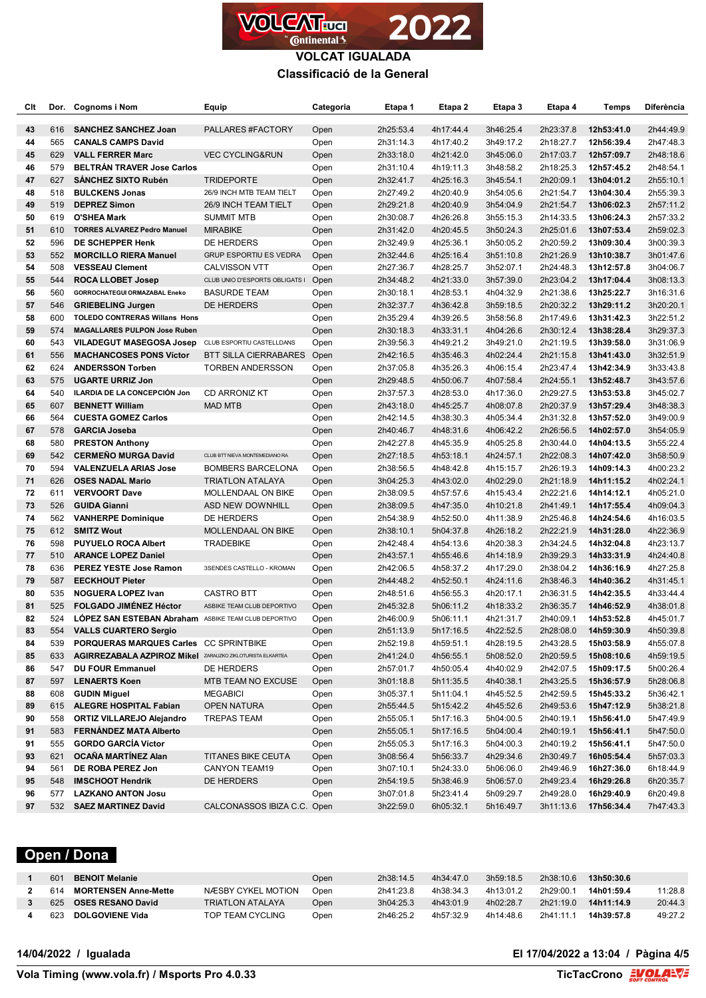

### **VOLCAT IGUALADA Classificació de la General**

| Clt |     | Dor. Cognoms i Nom                                               | Equip                          | Categoria | Etapa 1   | Etapa 2   | Etapa 3   | Etapa 4   | <b>Temps</b> | <b>Diferència</b> |
|-----|-----|------------------------------------------------------------------|--------------------------------|-----------|-----------|-----------|-----------|-----------|--------------|-------------------|
| 43  | 616 | <b>SANCHEZ SANCHEZ Joan</b>                                      | PALLARES #FACTORY              | Open      | 2h25:53.4 | 4h17:44.4 | 3h46:25.4 | 2h23:37.8 | 12h53:41.0   | 2h44:49.9         |
| 44  | 565 | <b>CANALS CAMPS David</b>                                        |                                | Open      | 2h31:14.3 | 4h17:40.2 | 3h49:17.2 | 2h18:27.7 | 12h56:39.4   | 2h47:48.3         |
| 45  | 629 | <b>VALL FERRER Marc</b>                                          | <b>VEC CYCLING&amp;RUN</b>     | Open      | 2h33:18.0 | 4h21:42.0 | 3h45:06.0 | 2h17:03.7 | 12h57:09.7   | 2h48:18.6         |
| 46  | 579 | <b>BELTRÁN TRAVER Jose Carlos</b>                                |                                | Open      | 2h31:10.4 | 4h19:11.3 | 3h48:58.2 | 2h18:25.3 | 12h57:45.2   | 2h48:54.1         |
| 47  | 627 | <b>SANCHEZ SIXTO Rubén</b>                                       | <b>TRIDEPORTE</b>              | Open      | 2h32:41.7 | 4h25:16.3 | 3h45:54.1 | 2h20:09.1 | 13h04:01.2   | 2h55:10.1         |
| 48  | 518 | <b>BULCKENS Jonas</b>                                            | 26/9 INCH MTB TEAM TIELT       | Open      | 2h27:49.2 | 4h20:40.9 | 3h54:05.6 | 2h21:54.7 | 13h04:30.4   | 2h55:39.3         |
| 49  | 519 | <b>DEPREZ Simon</b>                                              | 26/9 INCH TEAM TIELT           | Open      | 2h29:21.8 | 4h20:40.9 | 3h54:04.9 | 2h21:54.7 | 13h06:02.3   | 2h57:11.2         |
| 50  | 619 | <b>O'SHEA Mark</b>                                               | <b>SUMMIT MTB</b>              | Open      | 2h30:08.7 | 4h26:26.8 | 3h55:15.3 | 2h14:33.5 | 13h06:24.3   | 2h57:33.2         |
| 51  | 610 | <b>TORRES ALVAREZ Pedro Manuel</b>                               | <b>MIRABIKE</b>                | Open      | 2h31:42.0 | 4h20:45.5 | 3h50:24.3 | 2h25:01.6 | 13h07:53.4   | 2h59:02.3         |
| 52  | 596 | DE SCHEPPER Henk                                                 | DE HERDERS                     | Open      | 2h32:49.9 | 4h25:36.1 | 3h50:05.2 | 2h20:59.2 | 13h09:30.4   | 3h00:39.3         |
| 53  | 552 | <b>MORCILLO RIERA Manuel</b>                                     | <b>GRUP ESPORTIU ES VEDRA</b>  | Open      | 2h32:44.6 | 4h25:16.4 | 3h51:10.8 | 2h21:26.9 | 13h10:38.7   | 3h01:47.6         |
| 54  | 508 | <b>VESSEAU Clement</b>                                           | <b>CALVISSON VTT</b>           | Open      | 2h27:36.7 | 4h28:25.7 | 3h52:07.1 | 2h24:48.3 | 13h12:57.8   | 3h04:06.7         |
| 55  | 544 | <b>ROCA LLOBET Josep</b>                                         | CLUB UNIO D'ESPORTS OBLIGATS I | Open      | 2h34:48.2 | 4h21:33.0 | 3h57:39.0 | 2h23:04.2 | 13h17:04.4   | 3h08:13.3         |
| 56  | 560 | GORROCHATEGUI ORMAZABAL Eneko                                    | <b>BASURDE TEAM</b>            | Open      | 2h30:18.1 | 4h28:53.1 | 4h04:32.9 | 2h21:38.6 | 13h25:22.7   | 3h16:31.6         |
| 57  | 546 | <b>GRIEBELING Jurgen</b>                                         | DE HERDERS                     | Open      | 2h32:37.7 | 4h36:42.8 | 3h59:18.5 | 2h20:32.2 | 13h29:11.2   | 3h20:20.1         |
| 58  | 600 | <b>TOLEDO CONTRERAS Willans Hons</b>                             |                                | Open      | 2h35:29.4 | 4h39:26.5 | 3h58:56.8 | 2h17:49.6 | 13h31:42.3   | 3h22:51.2         |
| 59  | 574 | <b>MAGALLARES PULPON Jose Ruben</b>                              |                                | Open      | 2h30:18.3 | 4h33:31.1 | 4h04:26.6 | 2h30:12.4 | 13h38:28.4   | 3h29:37.3         |
| 60  | 543 | <b>VILADEGUT MASEGOSA Josep</b>                                  | CLUB ESPORTIU CASTELLDANS      | Open      | 2h39:56.3 | 4h49:21.2 | 3h49:21.0 | 2h21:19.5 | 13h39:58.0   | 3h31:06.9         |
| 61  | 556 | <b>MACHANCOSES PONS Víctor</b>                                   | BTT SILLA CIERRABARES          | Open      | 2h42:16.5 | 4h35:46.3 | 4h02:24.4 | 2h21:15.8 | 13h41:43.0   | 3h32:51.9         |
| 62  | 624 | <b>ANDERSSON Torben</b>                                          | <b>TORBEN ANDERSSON</b>        | Open      | 2h37:05.8 | 4h35:26.3 | 4h06:15.4 | 2h23:47.4 | 13h42:34.9   | 3h33:43.8         |
| 63  | 575 | <b>UGARTE URRIZ Jon</b>                                          |                                | Open      | 2h29:48.5 | 4h50:06.7 | 4h07:58.4 | 2h24:55.1 | 13h52:48.7   | 3h43:57.6         |
| 64  | 540 | ILARDIA DE LA CONCEPCIÓN Jon                                     | <b>CD ARRONIZ KT</b>           | Open      | 2h37:57.3 | 4h28:53.0 | 4h17:36.0 | 2h29:27.5 | 13h53:53.8   | 3h45:02.7         |
| 65  | 607 | <b>BENNETT William</b>                                           | <b>MAD MTB</b>                 | Open      | 2h43:18.0 | 4h45:25.7 | 4h08:07.8 | 2h20:37.9 | 13h57:29.4   | 3h48:38.3         |
| 66  | 564 | <b>CUESTA GOMEZ Carlos</b>                                       |                                | Open      | 2h42:14.5 | 4h38:30.3 | 4h05:34.4 | 2h31:32.8 | 13h57:52.0   | 3h49:00.9         |
| 67  | 578 | <b>GARCIA Joseba</b>                                             |                                | Open      | 2h40:46.7 | 4h48:31.6 | 4h06:42.2 | 2h26:56.5 | 14h02:57.0   | 3h54:05.9         |
| 68  | 580 | <b>PRESTON Anthony</b>                                           |                                | Open      | 2h42:27.8 | 4h45:35.9 | 4h05:25.8 | 2h30:44.0 | 14h04:13.5   | 3h55:22.4         |
| 69  | 542 | <b>CERMENO MURGA David</b>                                       | CLUB BTT NIEVA MONTEMEDIANO RA | Open      | 2h27:18.5 | 4h53:18.1 | 4h24:57.1 | 2h22:08.3 | 14h07:42.0   | 3h58:50.9         |
| 70  | 594 | <b>VALENZUELA ARIAS Jose</b>                                     | <b>BOMBERS BARCELONA</b>       | Open      | 2h38:56.5 | 4h48:42.8 | 4h15:15.7 | 2h26:19.3 | 14h09:14.3   | 4h00:23.2         |
| 71  | 626 | <b>OSES NADAL Mario</b>                                          | <b>TRIATLON ATALAYA</b>        | Open      | 3h04:25.3 | 4h43:02.0 | 4h02:29.0 | 2h21:18.9 | 14h11:15.2   | 4h02:24.1         |
| 72  | 611 | <b>VERVOORT Dave</b>                                             | MOLLENDAAL ON BIKE             | Open      | 2h38:09.5 | 4h57:57.6 | 4h15:43.4 | 2h22:21.6 | 14h14:12.1   | 4h05:21.0         |
| 73  | 526 | <b>GUIDA Gianni</b>                                              | ASD NEW DOWNHILL               | Open      | 2h38:09.5 | 4h47:35.0 | 4h10:21.8 | 2h41:49.1 | 14h17:55.4   | 4h09:04.3         |
| 74  | 562 | <b>VANHERPE Dominique</b>                                        | DE HERDERS                     | Open      | 2h54:38.9 | 4h52:50.0 | 4h11:38.9 | 2h25:46.8 | 14h24:54.6   | 4h16:03.5         |
| 75  | 612 | <b>SMITZ Wout</b>                                                | MOLLENDAAL ON BIKE             | Open      | 2h38:10.1 | 5h04:37.8 | 4h26:18.2 | 2h22:21.9 | 14h31:28.0   | 4h22:36.9         |
| 76  | 598 | <b>PUYUELO ROCA Albert</b>                                       | <b>TRADEBIKE</b>               | Open      | 2h42:48.4 | 4h54:13.6 | 4h20:38.3 | 2h34:24.5 | 14h32:04.8   | 4h23:13.7         |
| 77  | 510 | <b>ARANCE LOPEZ Daniel</b>                                       |                                | Open      | 2h43:57.1 | 4h55:46.6 | 4h14:18.9 | 2h39:29.3 | 14h33:31.9   | 4h24:40.8         |
| 78  | 636 | PEREZ YESTE Jose Ramon                                           | 3SENDES CASTELLO - KROMAN      | Open      | 2h42:06.5 | 4h58:37.2 | 4h17:29.0 | 2h38:04.2 | 14h36:16.9   | 4h27:25.8         |
| 79  | 587 | <b>EECKHOUT Pieter</b>                                           |                                | Open      | 2h44:48.2 | 4h52:50.1 | 4h24:11.6 | 2h38:46.3 | 14h40:36.2   | 4h31:45.1         |
| 80  | 535 | <b>NOGUERA LOPEZ Ivan</b>                                        | <b>CASTRO BTT</b>              | Open      | 2h48:51.6 | 4h56:55.3 | 4h20:17.1 | 2h36:31.5 | 14h42:35.5   | 4h33:44.4         |
| 81  | 525 | <b>FOLGADO JIMÉNEZ Héctor</b>                                    | ASBIKE TEAM CLUB DEPORTIVO     | Open      | 2h45:32.8 | 5h06:11.2 | 4h18:33.2 | 2h36:35.7 | 14h46:52.9   | 4h38:01.8         |
| 82  | 524 | <b>LÓPEZ SAN ESTEBAN Abraham</b> ASBIKE TEAM CLUB DEPORTIVO      |                                | Open      | 2h46:00.9 | 5h06:11.1 | 4h21:31.7 | 2h40:09.1 | 14h53:52.8   | 4h45:01.7         |
| 83  |     | 554 VALLS CUARTERO Sergio                                        |                                | Open      | 2h51:13.9 | 5h17:16.5 | 4h22:52.5 |           |              | 4h50:39.8         |
| 84  | 539 | PORQUERAS MARQUES Carles CC SPRINTBIKE                           |                                | Open      | 2h52:19.8 | 4h59:51.1 | 4h28:19.5 | 2h43:28.5 | 15h03:58.9   | 4h55:07.8         |
| 85  | 633 | <b>AGIRREZABALA AZPIROZ Mikel</b> ZARAUZKO ZIKLOTURISTA ELKARTEA |                                | Open      | 2h41:24.0 | 4h56:55.1 | 5h08:52.0 | 2h20:59.5 | 15h08:10.6   | 4h59:19.5         |
| 86  | 547 | <b>DU FOUR Emmanuel</b>                                          | DE HERDERS                     | Open      | 2h57:01.7 | 4h50:05.4 | 4h40:02.9 | 2h42:07.5 | 15h09:17.5   | 5h00:26.4         |
| 87  | 597 | <b>LENAERTS Koen</b>                                             | MTB TEAM NO EXCUSE             | Open      | 3h01:18.8 | 5h11:35.5 | 4h40:38.1 | 2h43:25.5 | 15h36:57.9   | 5h28:06.8         |
| 88  | 608 | <b>GUDIN Miguel</b>                                              | <b>MEGABICI</b>                | Open      | 3h05:37.1 | 5h11:04.1 | 4h45:52.5 | 2h42:59.5 | 15h45:33.2   | 5h36:42.1         |
| 89  | 615 | <b>ALEGRE HOSPITAL Fabian</b>                                    | <b>OPEN NATURA</b>             | Open      | 2h55:44.5 | 5h15:42.2 | 4h45:52.6 | 2h49:53.6 | 15h47:12.9   | 5h38:21.8         |
| 90  | 558 | <b>ORTIZ VILLAREJO Alejandro</b>                                 | TREPAS TEAM                    | Open      | 2h55:05.1 | 5h17:16.3 | 5h04:00.5 | 2h40:19.1 | 15h56:41.0   | 5h47:49.9         |
| 91  | 583 | <b>FERNÁNDEZ MATA Alberto</b>                                    |                                | Open      | 2h55:05.1 | 5h17:16.5 | 5h04:00.4 | 2h40:19.1 | 15h56:41.1   | 5h47:50.0         |
| 91  | 555 | <b>GORDO GARCÍA Víctor</b>                                       |                                | Open      | 2h55:05.3 | 5h17:16.3 | 5h04:00.3 | 2h40:19.2 | 15h56:41.1   | 5h47:50.0         |
| 93  | 621 | OCAÑA MARTÍNEZ Alan                                              | <b>TITANES BIKE CEUTA</b>      | Open      | 3h08:56.4 | 5h56:33.7 | 4h29:34.6 | 2h30:49.7 | 16h05:54.4   | 5h57:03.3         |
| 94  | 561 | DE ROBA PEREZ Jon                                                | CANYON TEAM19                  | Open      | 3h07:10.1 | 5h24:33.0 | 5h06:06.0 | 2h49:46.9 | 16h27:36.0   | 6h18:44.9         |
| 95  | 548 | <b>IMSCHOOT Hendrik</b>                                          | DE HERDERS                     | Open      | 2h54:19.5 | 5h38:46.9 | 5h06:57.0 | 2h49:23.4 | 16h29:26.8   | 6h20:35.7         |
| 96  | 577 | <b>LAZKANO ANTON Josu</b>                                        |                                | Open      | 3h07:01.8 | 5h23:41.4 | 5h09:29.7 | 2h49:28.0 | 16h29:40.9   | 6h20:49.8         |
| 97  | 532 | <b>SAEZ MARTINEZ David</b>                                       | CALCONASSOS IBIZA C.C. Open    |           | 3h22:59.0 | 6h05:32.1 | 5h16:49.7 | 3h11:13.6 | 17h56:34.4   | 7h47:43.3         |

# **Open / Dona**

| 601 | <b>BENOIT Melanie</b>       |                         | Open | 2h38:14.5 | 4h34:47.0 | 3h59:18.5 | 2h38:10.6 | 13h50:30.6 |         |
|-----|-----------------------------|-------------------------|------|-----------|-----------|-----------|-----------|------------|---------|
| 614 | <b>MORTENSEN Anne-Mette</b> | NÆSBY CYKEL MOTION      | Open | 2h41:23.8 | 4h38:34.3 | 4h13:01.2 | 2h29:00.1 | 14h01:59.4 | 11:28.8 |
| 625 | <b>OSES RESANO David</b>    | <b>TRIATLON ATALAYA</b> | Open | 3h04:25.3 | 4h43:01.9 | 4h02:28.7 | 2h21:19.0 | 14h11:14.9 | 20:44.3 |
| 623 | <b>DOLGOVIENE Vida</b>      | TOP TEAM CYCLING        | Open | 2h46:25.2 | 4h57:32.9 | 4h14:48.6 | 2h41:11.1 | 14h39:57.8 | 49:27.2 |

**14/04/2022 / Igualada El 17/04/2022 a 13:04 / Pàgina 4/5**